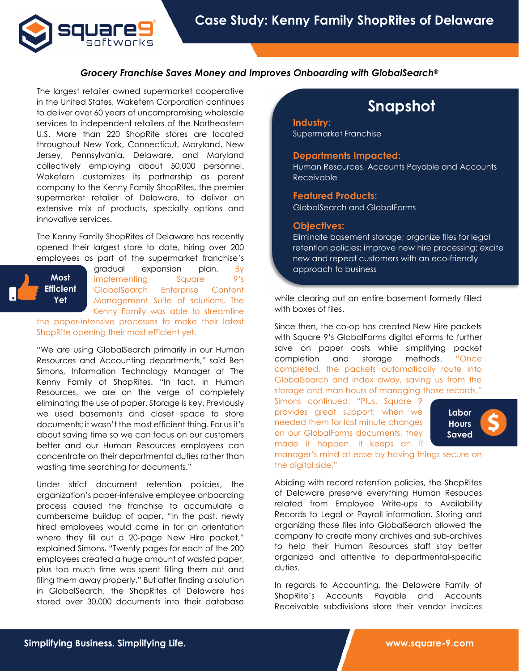

## *Grocery Franchise Saves Money and Improves Onboarding with GlobalSearch®*

The largest retailer owned supermarket cooperative in the United States, Wakefern Corporation continues to deliver over 60 years of uncompromising wholesale services to independent retailers of the Northeastern U.S. More than 220 ShopRite stores are located throughout New York, Connecticut, Maryland, New Jersey, Pennsylvania, Delaware, and Maryland collectively employing about 50,000 personnel. Wakefern customizes its partnership as parent company to the Kenny Family ShopRites, the premier supermarket retailer of Delaware, to deliver an extensive mix of products, specialty options and innovative services.

The Kenny Family ShopRites of Delaware has recently opened their largest store to date, hiring over 200 employees as part of the supermarket franchise's

**Most Efficient Yet**

gradual expansion plan. By implementing Square 9's GlobalSearch Enterprise Content Management Suite of solutions, The Kenny Family was able to streamline

the paper-intensive processes to make their latest ShopRite opening their most efficient yet.

"We are using GlobalSearch primarily in our Human Resources and Accounting departments," said Ben Simons, Information Technology Manager at The Kenny Family of ShopRites. "In fact, in Human Resources, we are on the verge of completely eliminating the use of paper. Storage is key. Previously we used basements and closet space to store documents; it wasn't the most efficient thing. For us it's about saving time so we can focus on our customers better and our Human Resources employees can concentrate on their departmental duties rather than wasting time searching for documents."

Under strict document retention policies, the organization's paper-intensive employee onboarding process caused the franchise to accumulate a cumbersome buildup of paper. "In the past, newly hired employees would come in for an orientation where they fill out a 20-page New Hire packet," explained Simons. "Twenty pages for each of the 200 employees created a huge amount of wasted paper, plus too much time was spent filling them out and filing them away properly." But after finding a solution in GlobalSearch, the ShopRites of Delaware has stored over 30,000 documents into their database

# **Snapshot**

**Industry:** Supermarket Franchise

### **Departments Impacted:**

Human Resources, Accounts Payable and Accounts Receivable

## **Featured Products:**

GlobalSearch and GlobalForms

#### **Objectives:**

Eliminate basement storage; organize files for legal retention policies; improve new hire processing; excite new and repeat customers with an eco-friendly approach to business

while clearing out an entire basement formerly filled with boxes of files.

Since then, the co-op has created New Hire packets with Square 9's GlobalForms digital eForms to further save on paper costs while simplifying packet completion and storage methods. "Once completed, the packets automatically route into GlobalSearch and index away, saving us from the storage and man hours of managing those records,"

Simons continued. "Plus, Square 9 provides great support; when we needed them for last minute changes on our GlobalForms documents, they made it happen. It keeps an IT



manager's mind at ease by having things secure on the digital side."

Abiding with record retention policies, the ShopRites of Delaware preserve everything Human Resouces related from Employee Write-ups to Availability Records to Legal or Payroll information. Storing and organizing those files into GlobalSearch allowed the company to create many archives and sub-archives to help their Human Resources staff stay better organized and attentive to departmental-specific duties.

In regards to Accounting, the Delaware Family of ShopRite's Accounts Payable and Accounts Receivable subdivisions store their vendor invoices